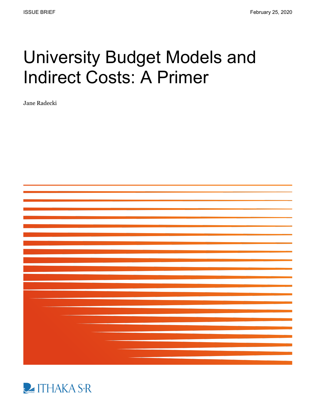# University Budget Models and Indirect Costs: A Primer

Jane Radecki



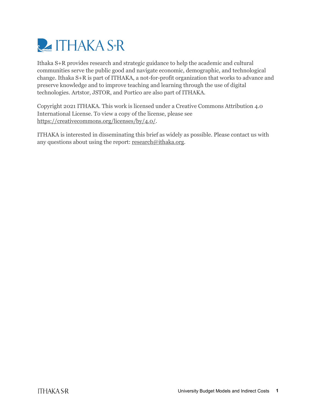

Ithaka S+R provides research and strategic guidance to help the academic and cultural communities serve the public good and navigate economic, demographic, and technological change. Ithaka S+R is part of ITHAKA, a not-for-profit organization that works to advance and preserve knowledge and to improve teaching and learning through the use of digital technologies. Artstor, JSTOR, and Portico are also part of ITHAKA.

Copyright 2021 ITHAKA. This work is licensed under a Creative Commons Attribution 4.0 International License. To view a copy of the license, please see [https://creativecommons.org/licenses/by/4.0/.](https://creativecommons.org/licenses/by/4.0/)

ITHAKA is interested in disseminating this brief as widely as possible. Please contact us with any questions about using the report[: research@ithaka.org.](mailto:research@ithaka.org)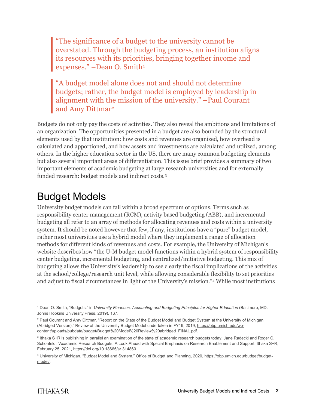"The significance of a budget to the university cannot be overstated. Through the budgeting process, an institution aligns its resources with its priorities, bringing together income and expenses." –Dean O. Smith<sup>[1](#page-2-0)</sup>

"A budget model alone does not and should not determine budgets; rather, the budget model is employed by leadership in alignment with the mission of the university." –Paul Courant and Amy Dittmar[2](#page-2-1)

Budgets do not only pay the costs of activities. They also reveal the ambitions and limitations of an organization. The opportunities presented in a budget are also bounded by the structural elements used by that institution: how costs and revenues are organized, how overhead is calculated and apportioned, and how assets and investments are calculated and utilized, among others. In the higher education sector in the US, there are many common budgeting elements but also several important areas of differentiation. This issue brief provides a summary of two important elements of academic budgeting at large research universities and for externally funded research: budget models and indirect costs.[3](#page-2-2) 

## Budget Models

University budget models can fall within a broad spectrum of options. Terms such as responsibility center management (RCM), activity based budgeting (ABB), and incremental budgeting all refer to an array of methods for allocating revenues and costs within a university system. It should be noted however that few, if any, institutions have a "pure" budget model, rather most universities use a hybrid model where they implement a range of allocation methods for different kinds of revenues and costs. For example, the University of Michigan's website describes how "the U-M budget model functions within a hybrid system of responsibility center budgeting, incremental budgeting, and centralized/initiative budgeting. This mix of budgeting allows the University's leadership to see clearly the fiscal implications of the activities at the school/college/research unit level, while allowing considerable flexibility to set priorities and adjust to fiscal circumstances in light of the University's mission."[4](#page-2-3) While most institutions

<span id="page-2-0"></span> <sup>1</sup> Dean O. Smith, "Budgets," in *University Finances: Accounting and Budgeting Principles for Higher Education* (Baltimore, MD: Johns Hopkins University Press, 2019), 167.

<span id="page-2-1"></span><sup>&</sup>lt;sup>2</sup> Paul Courant and Amy Dittmar, "Report on the State of the Budget Model and Budget System at the University of Michigan (Abridged Version)," Review of the University Budget Model undertaken in FY1[9,](https://obp.umich.edu/wp-content/uploads/pubdata/budget/Budget%20Model%20Review%20abridged_FINAL.pdf) 2019, [https://obp.umich.edu/wp](https://obp.umich.edu/wp-content/uploads/pubdata/budget/Budget%20Model%20Review%20abridged_FINAL.pdf)[content/uploads/pubdata/budget/Budget%20Model%20Review%20abridged\\_FINAL.pdf.](https://obp.umich.edu/wp-content/uploads/pubdata/budget/Budget%20Model%20Review%20abridged_FINAL.pdf)

<span id="page-2-2"></span><sup>3</sup> Ithaka S+R is publishing in parallel an examination of the state of academic research budgets today. Jane Radecki and Roger C. Schonfeld, "Academic Research Budgets: A Look Ahead with Special Emphasis on Research Enablement and Support, Ithaka S+R, February 25, 2021, [https://doi.org/10.18665/sr.314860.](https://doi.org/10.18665/sr.314860)

<span id="page-2-3"></span><sup>4</sup> University of Michigan, "Budget Model and System," Office of Budget and Planning, 2020, [https://obp.umich.edu/budget/budget](https://obp.umich.edu/budget/budget-model/)[model/.](https://obp.umich.edu/budget/budget-model/)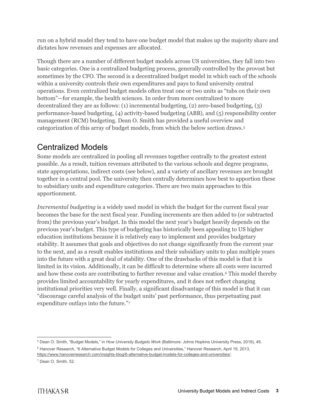run on a hybrid model they tend to have one budget model that makes up the majority share and dictates how revenues and expenses are allocated.

Though there are a number of different budget models across US universities, they fall into two basic categories. One is a centralized budgeting process, generally controlled by the provost but sometimes by the CFO. The second is a decentralized budget model in which each of the schools within a university controls their own expenditures and pays to fund university central operations. Even centralized budget models often treat one or two units as "tubs on their own bottom"—for example, the health sciences. In order from more centralized to more decentralized they are as follows: (1) incremental budgeting, (2) zero-based budgeting, (3) performance-based budgeting, (4) activity-based budgeting (ABB), and (5) responsibility center management (RCM) budgeting. Dean O. Smith has provided a useful overview and categorization of this array of budget models, from which the below section draws.[5](#page-3-0)

#### Centralized Models

Some models are centralized in pooling all revenues together centrally to the greatest extent possible. As a result, tuition revenues attributed to the various schools and degree programs, state appropriations, indirect costs (see below), and a variety of ancillary revenues are brought together in a central pool. The university then centrally determines how best to apportion these to subsidiary units and expenditure categories. There are two main approaches to this apportionment.

*Incremental budgeting* is a widely used model in which the budget for the current fiscal year becomes the base for the next fiscal year. Funding increments are then added to (or subtracted from) the previous year's budget. In this model the next year's budget heavily depends on the previous year's budget. This type of budgeting has historically been appealing to US higher education institutions because it is relatively easy to implement and provides budgetary stability. It assumes that goals and objectives do not change significantly from the current year to the next, and as a result enables institutions and their subsidiary units to plan multiple years into the future with a great deal of stability. One of the drawbacks of this model is that it is limited in its vision. Additionally, it can be difficult to determine where all costs were incurred and how these costs are contributing to further revenue and value creation.<sup>[6](#page-3-1)</sup> This model thereby provides limited accountability for yearly expenditures, and it does not reflect changing institutional priorities very well. Finally, a significant disadvantage of this model is that it can "discourage careful analysis of the budget units' past performance, thus perpetuating past expenditure outlays into the future."[7](#page-3-2)

 <sup>5</sup> Dean O. Smith, "Budget Models," in *How University Budgets Work* (Baltimore: Johns Hopkins University Press, 2019), 49.

<span id="page-3-2"></span><span id="page-3-1"></span><span id="page-3-0"></span><sup>6</sup> Hanover Research, "6 Alternative Budget Models for Colleges and Universities," Hanover Research, April 19, 2013[,](https://www.hanoverresearch.com/insights-blog/6-alternative-budget-models-for-colleges-and-universities/)

[https://www.hanoverresearch.com/insights-blog/6-alternative-budget-models-for-colleges-and-universities/.](https://www.hanoverresearch.com/insights-blog/6-alternative-budget-models-for-colleges-and-universities/) <sup>7</sup> Dean O. Smith, 52.

**ITHAKA S-R**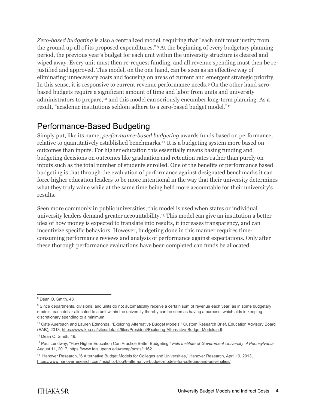*Zero-based budgeting* is also a centralized model, requiring that "each unit must justify from the ground up all of its proposed expenditures."[8](#page-4-0) At the beginning of every budgetary planning period, the previous year's budget for each unit within the university structure is cleared and wiped away. Every unit must then re-request funding, and all revenue spending must then be rejustified and approved. This model, on the one hand, can be seen as an effective way of eliminating unnecessary costs and focusing on areas of current and emergent strategic priority. In this sense, it is responsive to current revenue performance needs.[9](#page-4-1) On the other hand zerobased budgets require a significant amount of time and labor from units and university administrators to prepare,[10](#page-4-2) and this model can seriously encumber long-term planning. As a result, "academic institutions seldom adhere to a zero-based budget model."[11](#page-4-3)

#### Performance-Based Budgeting

Simply put, like its name, *performance-based budgeting* awards funds based on performance, relative to quantitatively established benchmarks.[12](#page-4-4) It is a budgeting system more based on outcomes than inputs. For higher education this essentially means basing funding and budgeting decisions on outcomes like graduation and retention rates rather than purely on inputs such as the total number of students enrolled. One of the benefits of performance based budgeting is that through the evaluation of performance against designated benchmarks it can force higher education leaders to be more intentional in the way that their university determines what they truly value while at the same time being held more accountable for their university's results.

Seen more commonly in public universities, this model is used when states or individual university leaders demand greater accountability[.13](#page-4-5) This model can give an institution a better idea of how money is expected to translate into results, it increases transparency, and can incentivize specific behaviors. However, budgeting done in this manner requires timeconsuming performance reviews and analysis of performance against expectations. Only after these thorough performance evaluations have been completed can funds be allocated.

<span id="page-4-0"></span> <sup>8</sup> Dean O. Smith, 48.

<span id="page-4-1"></span><sup>&</sup>lt;sup>9</sup> Since departments, divisions, and units do not automatically receive a certain sum of revenue each year, as in some budgetary models, each dollar allocated to a unit within the university thereby can be seen as having a purpose, which aids in keeping discretionary spending to a minimum.

<span id="page-4-2"></span><sup>&</sup>lt;sup>10</sup> Cate Auerbach and Lauren Edmonds, "Exploring Alternative Budget Models," Custom Research Brief, Education Advisory Board (EAB), 2013[,](https://www.kpu.ca/sites/default/files/President/Exploring-Alternative-Budget-Models.pdf) [https://www.kpu.ca/sites/default/files/President/Exploring-Alternative-Budget-Models.pdf.](https://www.kpu.ca/sites/default/files/President/Exploring-Alternative-Budget-Models.pdf)

<span id="page-4-3"></span><sup>&</sup>lt;sup>11</sup> Dean O. Smith, 49.

<span id="page-4-4"></span><sup>12</sup> Paul Lendway, "How Higher Education Can Practice Better Budgeting," *Fels Institute of Government University of Pennsylvania*, August 11, 201[7,](https://www.fels.upenn.edu/recap/posts/1162) [https://www.fels.upenn.edu/recap/posts/1162.](https://www.fels.upenn.edu/recap/posts/1162)

<span id="page-4-5"></span><sup>&</sup>lt;sup>13</sup> Hanover Research[,](https://www.hanoverresearch.com/insights-blog/6-alternative-budget-models-for-colleges-and-universities/) "6 Alternative Budget Models for Colleges and Universities," Hanover Research, April 19, 2013, [https://www.hanoverresearch.com/insights-blog/6-alternative-budget-models-for-colleges-and-universities/.](https://www.hanoverresearch.com/insights-blog/6-alternative-budget-models-for-colleges-and-universities/)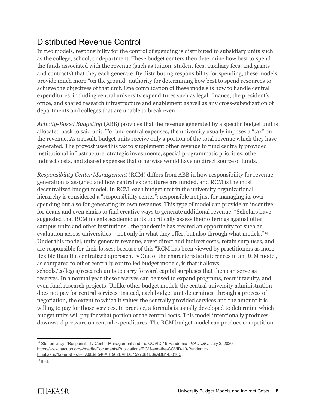#### Distributed Revenue Control

In two models, responsibility for the control of spending is distributed to subsidiary units such as the college, school, or department. These budget centers then determine how best to spend the funds associated with the revenue (such as tuition, student fees, auxiliary fees, and grants and contracts) that they each generate. By distributing responsibility for spending, these models provide much more "on the ground" authority for determining how best to spend resources to achieve the objectives of that unit. One complication of these models is how to handle central expenditures, including central university expenditures such as legal, finance, the president's office, and shared research infrastructure and enablement as well as any cross-subsidization of departments and colleges that are unable to break even.

*Activity-Based Budgeting* (ABB) provides that the revenue generated by a specific budget unit is allocated back to said unit. To fund central expenses, the university usually imposes a "tax" on the revenue. As a result, budget units receive only a portion of the total revenue which they have generated. The provost uses this tax to supplement other revenue to fund centrally provided institutional infrastructure, strategic investments, special programmatic priorities, other indirect costs, and shared expenses that otherwise would have no direct source of funds.

*Responsibility Center Management* (RCM) differs from ABB in how responsibility for revenue generation is assigned and how central expenditures are funded, and RCM is the most decentralized budget model. In RCM, each budget unit in the university organizational hierarchy is considered a "responsibility center": responsible not just for managing its own spending but also for generating its own revenues. This type of model can provide an incentive for deans and even chairs to find creative ways to generate additional revenue: "Scholars have suggested that RCM incents academic units to critically assess their offerings against other campus units and other institutions…the pandemic has created an opportunity for such an evaluation across universities – not only in what they offer, but also through what models."[14](#page-5-0) Under this model, units generate revenue, cover direct and indirect costs, retain surpluses, and are responsible for their losses; because of this "RCM has been viewed by practitioners as more flexible than the centralized approach."[15](#page-5-1) One of the characteristic differences in an RCM model, as compared to other centrally controlled budget models, is that it allows schools/colleges/research units to carry forward capital surpluses that then can serve as reserves. In a normal year these reserves can be used to expand programs, recruit faculty, and even fund research projects. Unlike other budget models the central university administration does not pay for central services. Instead, each budget unit determines, through a process of negotiation, the extent to which it values the centrally provided services and the amount it is willing to pay for those services. In practice, a formula is usually developed to determine which budget units will pay for what portion of the central costs. This model intentionally produces downward pressure on central expenditures. The RCM budget model can produce competition

<span id="page-5-0"></span> 14 Steffon Gray, "Responsibility Center Management and the COVID-19 Pandemic", *NACUBO*, July 3, 202[0,](https://www.nacubo.org/-/media/Documents/Publications/RCM-and-the-COVID-19-Pandemic-Final.ashx?la=en&hash=FA9E9F540A34902EAFDB1597681D69ADB145016C) [https://www.nacubo.org/-/media/Documents/Publications/RCM-and-the-COVID-19-Pandemic-](https://www.nacubo.org/-/media/Documents/Publications/RCM-and-the-COVID-19-Pandemic-Final.ashx?la=en&hash=FA9E9F540A34902EAFDB1597681D69ADB145016C)[Final.ashx?la=en&hash=FA9E9F540A34902EAFDB1597681D69ADB145016C.](https://www.nacubo.org/-/media/Documents/Publications/RCM-and-the-COVID-19-Pandemic-Final.ashx?la=en&hash=FA9E9F540A34902EAFDB1597681D69ADB145016C)

<span id="page-5-1"></span> $15$  Ibid.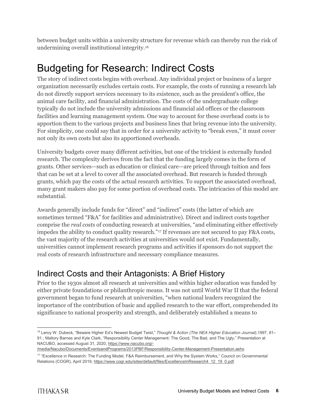between budget units within a university structure for revenue which can thereby run the risk of undermining overall institutional integrity.[16](#page-6-0)

## Budgeting for Research: Indirect Costs

The story of indirect costs begins with overhead. Any individual project or business of a larger organization necessarily excludes certain costs. For example, the costs of running a research lab do not directly support services necessary to its existence, such as the president's office, the animal care facility, and financial administration. The costs of the undergraduate college typically do not include the university admissions and financial aid offices or the classroom facilities and learning management system. One way to account for these overhead costs is to apportion them to the various projects and business lines that bring revenue into the university. For simplicity, one could say that in order for a university activity to "break even," it must cover not only its own costs but also its apportioned overheads.

University budgets cover many different activities, but one of the trickiest is externally funded research. The complexity derives from the fact that the funding largely comes in the form of grants. Other services—such as education or clinical care—are priced through tuition and fees that can be set at a level to cover all the associated overhead. But research is funded through grants, which pay the costs of the actual research activities. To support the associated overhead, many grant makers also pay for some portion of overhead costs. The intricacies of this model are substantial.

Awards generally include funds for "direct" and "indirect" costs (the latter of which are sometimes termed "F&A" for facilities and administrative). Direct and indirect costs together comprise the *real costs* of conducting research at universities, "and eliminating either effectively impedes the ability to conduct quality research."<sup>[17](#page-6-1)</sup> If revenues are not secured to pay F&A costs, the vast majority of the research activities at universities would not exist. Fundamentally, universities cannot implement research programs and activities if sponsors do not support the real costs of research infrastructure and necessary compliance measures.

#### Indirect Costs and their Antagonists: A Brief History

Prior to the 1930s almost all research at universities and within higher education was funded by either private foundations or philanthropic means. It was not until World War II that the federal government began to fund research at universities, "when national leaders recognized the importance of the contribution of basic and applied research to the war effort, comprehended its significance to national prosperity and strength, and deliberately established a means to

<span id="page-6-0"></span> <sup>16</sup> Leroy W. Dubeck, "Beware Higher Ed's Newest Budget Twist," *Thought & Action (The NEA Higher Education Journal)*,1997, 81– 91.; Mallory Barnes and Kyle Clark, "Responsibility Center Management: The Good, The Bad, and The Ugly," Presentation at NACUBO, accessed August 31, 2020, [https://www.nacubo.org/-](https://www.nacubo.org/-/media/Nacubo/Documents/EventsandPrograms/2013PBF/Responsibility-Center-Management-Presentation.ashx)

[<sup>/</sup>media/Nacubo/Documents/EventsandPrograms/2013PBF/Responsibility-Center-Management-Presentation.ashx.](https://www.nacubo.org/-/media/Nacubo/Documents/EventsandPrograms/2013PBF/Responsibility-Center-Management-Presentation.ashx)

<span id="page-6-1"></span><sup>17</sup> "Excellence in Research: The Funding Model, F&A Reimbursement, and Why the System Works," Council on Governmental Relations (COGR), April 201[9,](https://www.cogr.edu/sites/default/files/ExcellenceInResearch4_12_19_0.pdf) [https://www.cogr.edu/sites/default/files/ExcellenceInResearch4\\_12\\_19\\_0.pdf.](https://www.cogr.edu/sites/default/files/ExcellenceInResearch4_12_19_0.pdf)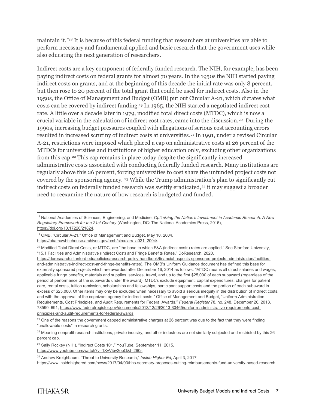maintain it."[18](#page-7-0) It is because of this federal funding that researchers at universities are able to perform necessary and fundamental applied and basic research that the government uses while also educating the next generation of researchers.

Indirect costs are a key component of federally funded research. The NIH, for example, has been paying indirect costs on federal grants for almost 70 years. In the 1950s the NIH started paying indirect costs on grants, and at the beginning of this decade the initial rate was only 8 percent, but then rose to 20 percent of the total grant that could be used for indirect costs. Also in the 1950s, the Office of Management and Budget (OMB) put out Circular A-21, which dictates what costs can be covered by indirect funding.[19](#page-7-1) In 1965, the NIH started a negotiated indirect cost rate. A little over a decade later in 1979, modified total direct costs (MTDC), which is now a crucial variable in the calculation of indirect cost rates, came into the discussion.[20](#page-7-2) During the 1990s, increasing budget pressures coupled with allegations of serious cost accounting errors resulted in increased scrutiny of indirect costs at universities.[21](#page-7-3) In 1991, under a revised Circular A-21, restrictions were imposed which placed a cap on administrative costs at 26 percent of the MTDCs for universities and institutions of higher education only, excluding other organizations from this cap[.22](#page-7-4) This cap remains in place today despite the significantly increased administrative costs associated with conducting federally funded research. Many institutions are regularly above this 26 percent, forcing universities to cost share the unfunded project costs not covered by the sponsoring agency. [23](#page-7-5) While the Trump administration's plan to significantly cut indirect costs on federally funded research was swiftly eradicated,<sup>24</sup> it may suggest a broader need to reexamine the nature of how research is budgeted and funded.

<span id="page-7-0"></span> <sup>18</sup> National Academies of Sciences, Engineering, and Medicine, *Optimizing the Nation's Investment in Academic Research: A New Regulatory Framework for the 21st Century* (Washington, DC: The National Academies Press, 2016), [https://doi.org/10.17226/21824.](https://doi.org/10.17226/21824)

<span id="page-7-1"></span><sup>19</sup> OMB, "Circular A-21," Office of Management and Budget, May 10, 2004[,](https://obamawhitehouse.archives.gov/omb/circulars_a021_2004/) [https://obamawhitehouse.archives.gov/omb/circulars\\_a021\\_2004/.](https://obamawhitehouse.archives.gov/omb/circulars_a021_2004/) 

<span id="page-7-2"></span><sup>&</sup>lt;sup>20</sup> Modified Total Direct Costs, or MTDC, are "the base to which F&A (indirect costs) rates are applied." See Stanford University, "15.1 Facilities and Administrative (Indirect Cost) and Fringe Benefits Rates," DoResearch, 2020[,](https://doresearch.stanford.edu/policies/research-policy-handbook/financial-aspects-sponsored-projects-administration/facilities-and-administrative-indirect-cost-and-fringe-benefits-rates)

[https://doresearch.stanford.edu/policies/research-policy-handbook/financial-aspects-sponsored-projects-administration/facilities](https://doresearch.stanford.edu/policies/research-policy-handbook/financial-aspects-sponsored-projects-administration/facilities-and-administrative-indirect-cost-and-fringe-benefits-rates)[and-administrative-indirect-cost-and-fringe-benefits-rates\)](https://doresearch.stanford.edu/policies/research-policy-handbook/financial-aspects-sponsored-projects-administration/facilities-and-administrative-indirect-cost-and-fringe-benefits-rates). The OMB's Uniform Guidance document has defined this base for externally sponsored projects which are awarded after December 16, 2014 as follows: "MTDC means all direct salaries and wages, applicable fringe benefits, materials and supplies, services, travel, and up to the first \$25,000 of each subaward (regardless of the period of performance of the subawards under the award). MTDCs exclude equipment, capital expenditures, charges for patient care, rental costs, tuition remission, scholarships and fellowships, participant support costs and the portion of each subaward in excess of \$25,000. Other items may only be excluded when necessary to avoid a serious inequity in the distribution of indirect costs, and with the approval of the cognizant agency for indirect costs." Office of Management and Budget, "Uniform Administration Requirements, Cost Principles, and Audit Requirements for Federal Awards," *Federal Register* 78, no. 248, December 26, 2013, 78590–691[, https://www.federalregister.gov/documents/2013/12/26/2013-30465/uniform-administrative-requirements-cost](https://www.federalregister.gov/documents/2013/12/26/2013-30465/uniform-administrative-requirements-cost-principles-and-audit-requirements-for-federal-awards)[principles-and-audit-requirements-for-federal-awards.](https://www.federalregister.gov/documents/2013/12/26/2013-30465/uniform-administrative-requirements-cost-principles-and-audit-requirements-for-federal-awards)

<span id="page-7-3"></span><sup>&</sup>lt;sup>21</sup> One of the reasons the government capped administrative charges at 26 percent was due to the fact that they were finding "unallowable costs" in research grants.

<span id="page-7-4"></span><sup>&</sup>lt;sup>22</sup> Meaning nonprofit research institutions, private industry, and other industries are not similarly subjected and restricted by this 26 percent cap.

<span id="page-7-5"></span><sup>&</sup>lt;sup>23</sup> Sally Rockey (NIH), "Indirect Costs 101," YouTube, September 11, 201[5,](https://www.youtube.com/watch?v=1XvVibv2opQ&t=260s)

[https://www.youtube.com/watch?v=1XvVibv2opQ&t=260s.](https://www.youtube.com/watch?v=1XvVibv2opQ&t=260s)

<span id="page-7-6"></span><sup>24</sup> Andrew Kreighbaum, "Threat to University Research," *Inside Higher Ed*, April 3, 2017, [https://www.insidehighered.com/news/2017/04/03/hhs-secretary-proposes-cutting-reimbursements-fund-university-based-research;](https://www.insidehighered.com/news/2017/04/03/hhs-secretary-proposes-cutting-reimbursements-fund-university-based-research)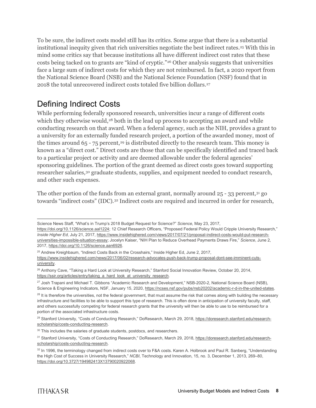To be sure, the indirect costs model still has its critics. Some argue that there is a substantial institutional inequity given that rich universities negotiate the best indirect rates.<sup>[25](#page-8-0)</sup> With this in mind some critics say that because institutions all have different indirect cost rates that these costs being tacked on to grants are "kind of cryptic."[26](#page-8-1) Other analysis suggests that universities face a large sum of indirect costs for which they are not reimbursed. In fact, a 2020 report from the National Science Board (NSB) and the National Science Foundation (NSF) found that in 2018 the total unrecovered indirect costs totaled five billion dollars.[27](#page-8-2)

### Defining Indirect Costs

While performing federally sponsored research, universities incur a range of different costs which they otherwise would,<sup>[28](#page-8-3)</sup> both in the lead up process to accepting an award and while conducting research on that award. When a federal agency, such as the NIH, provides a grant to a university for an externally funded research project, a portion of the awarded money, most of the times around  $65 - 75$  percent,<sup>[29](#page-8-4)</sup> is distributed directly to the research team. This money is known as a "direct cost." Direct costs are those that can be specifically identified and traced back to a particular project or activity and are deemed allowable under the federal agencies' sponsoring guidelines. The portion of the grant deemed as direct costs goes toward supporting researcher salaries,<sup>[30](#page-8-5)</sup> graduate students, supplies, and equipment needed to conduct research, and other such expenses.

The other portion of the funds from an external grant, normally around  $25 - 33$  percent,  $31$  go towards "indirect costs" (IDC).[32](#page-8-7) Indirect costs are required and incurred in order for research,

Science News Staff, "What's in Trump's 2018 Budget Request for Science?" *Science*, May 23, 2017,

[https://doi.org/10.1126/science.aal1224;](https://doi.org/10.1126/science.aal1224) 12 Chief Research Officers, "Proposed Federal Policy Would Cripple University Research," *Inside Higher Ed*, July 21, 201[7,](https://www.insidehighered.com/views/2017/07/21/proposal-indirect-costs-would-put-research-universities-impossible-situation-essay) [https://www.insidehighered.com/views/2017/07/21/proposal-indirect-costs-would-put-research](https://www.insidehighered.com/views/2017/07/21/proposal-indirect-costs-would-put-research-universities-impossible-situation-essay)[universities-impossible-situation-essay;](https://www.insidehighered.com/views/2017/07/21/proposal-indirect-costs-would-put-research-universities-impossible-situation-essay) Jocelyn Kaiser, "NIH Plan to Reduce Overhead Payments Draws Fire," *Science*, June 2, 2017[,](https://doi.org/10.1126/science.aan6926) [https://doi.org/10.1126/science.aan6926.](https://doi.org/10.1126/science.aan6926)

<span id="page-8-0"></span><sup>&</sup>lt;sup>25</sup> Andrew Kreighbaum, "Indirect Costs Back in the Crosshairs," Inside Higher Ed, June 2, 2017, [https://www.insidehighered.com/news/2017/06/02/research-advocates-push-back-trump-proposal-dont-see-imminent-cuts](https://www.insidehighered.com/news/2017/06/02/research-advocates-push-back-trump-proposal-dont-see-imminent-cuts-university)[university.](https://www.insidehighered.com/news/2017/06/02/research-advocates-push-back-trump-proposal-dont-see-imminent-cuts-university)

<span id="page-8-1"></span><sup>&</sup>lt;sup>26</sup> Anthony Cave, "Taking a Hard Look at University Research," Stanford Social Innovation Review, October 20, 2014, [https://ssir.org/articles/entry/taking\\_a\\_hard\\_look\\_at\\_university\\_research.](https://ssir.org/articles/entry/taking_a_hard_look_at_university_research)

<span id="page-8-2"></span><sup>&</sup>lt;sup>27</sup> Josh Trapani and Michael T. Gibbons "Academic Research and Development," NSB-2020-2, National Science Board (NSB), Science & Engineering Indicators, NSF, January 15, 2020, [https://ncses.nsf.gov/pubs/nsb20202/academic-r-d-in-the-united-states.](https://ncses.nsf.gov/pubs/nsb20202/academic-r-d-in-the-united-states)

<span id="page-8-3"></span> $28$  It is therefore the universities, not the federal government, that must assume the risk that comes along with building the necessary infrastructure and facilities to be able to support this type of research. This is often done in anticipation of university faculty, staff, and others successfully competing for federal research grants that the university will then be able to use to be reimbursed for a portion of the associated infrastructure costs.

<span id="page-8-4"></span><sup>&</sup>lt;sup>29</sup> Stanford University, "Costs of Conducting Research," DoResearch, March 29, 2018, [https://doresearch.stanford.edu/research](https://doresearch.stanford.edu/research-scholarship/costs-conducting-research)[scholarship/costs-conducting-research.](https://doresearch.stanford.edu/research-scholarship/costs-conducting-research)

<span id="page-8-5"></span><sup>&</sup>lt;sup>30</sup> This includes the salaries of graduate students, postdocs, and researchers.

<span id="page-8-6"></span><sup>31</sup> Stanford University, "Costs of Conducting Research," DoResearch, March 29, 2018, [https://doresearch.stanford.edu/research](https://doresearch.stanford.edu/research-scholarship/costs-conducting-research)[scholarship/costs-conducting-research.](https://doresearch.stanford.edu/research-scholarship/costs-conducting-research)

<span id="page-8-7"></span><sup>32</sup> In 1996, the terminology changed from indirect costs over to F&A costs. Karen A. Holbrook and Paul R. Sanberg, "Understanding the High Cost of Success in University Research," *NCBI*, Technology and Innovation, 15, no. 3, December 1, 2013, 269–80[,](https://doi.org/10.3727/194982413X13790020922068) [https://doi.org/10.3727/194982413X13790020922068.](https://doi.org/10.3727/194982413X13790020922068)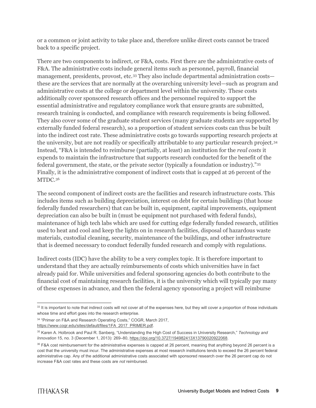or a common or joint activity to take place and, therefore unlike direct costs cannot be traced back to a specific project.

There are two components to indirect, or F&A, costs. First there are the administrative costs of F&A. The administrative costs include general items such as personnel, payroll, financial management, presidents, provost, etc.<sup>[33](#page-9-0)</sup> They also include departmental administration costs these are the services that are normally at the overarching university level—such as program and administrative costs at the college or department level within the university. These costs additionally cover sponsored research offices and the personnel required to support the essential administrative and regulatory compliance work that ensure grants are submitted, research training is conducted, and compliance with research requirements is being followed. They also cover some of the graduate student services (many graduate students are supported by externally funded federal research), so a proportion of student services costs can thus be built into the indirect cost rate. These administrative costs go towards supporting research projects at the university, but are not readily or specifically attributable to any particular research project.[34](#page-9-1) Instead, "F&A is intended to reimburse (partially, at least) an institution for the *real costs* it expends to maintain the infrastructure that supports research conducted for the benefit of the federal government, the state, or the private sector (typically a foundation or industry)."[35](#page-9-2) Finally, it is the administrative component of indirect costs that is capped at 26 percent of the MTDC.[36](#page-9-3)

The second component of indirect costs are the facilities and research infrastructure costs. This includes items such as building depreciation, interest on debt for certain buildings (that house federally funded researchers) that can be built in, equipment, capital improvements, equipment depreciation can also be built in (must be equipment not purchased with federal funds), maintenance of high tech labs which are used for cutting edge federally funded research, utilities used to heat and cool and keep the lights on in research facilities, disposal of hazardous waste materials, custodial cleaning, security, maintenance of the buildings, and other infrastructure that is deemed necessary to conduct federally funded research and comply with regulations.

Indirect costs (IDC) have the ability to be a very complex topic. It is therefore important to understand that they are actually reimbursements of costs which universities have in fact already paid for. While universities and federal sponsoring agencies do both contribute to the financial cost of maintaining research facilities, it is the university which will typically pay many of these expenses in advance, and then the federal agency sponsoring a project will reimburse

<span id="page-9-0"></span><sup>&</sup>lt;sup>33</sup> It is important to note that indirect costs will not cover all of the expenses here, but they will cover a proportion of those individuals whose time and effort goes into the research enterprise.

<span id="page-9-1"></span><sup>34</sup> "Primer on F&A and Research Operating Costs," COGR, March 2017, https://www.cogr.edu/sites/default/files/1FA\_2017\_PRIMER.pdf.

<span id="page-9-2"></span><sup>35</sup> Karen A. Holbrook and Paul R. Sanberg, "Understanding the High Cost of Success in University Research," *Technology and Innovation* 15, no. 3 (December 1, 2013): 269–80, https://doi.org/10.3727/194982413X13790020922068.

<span id="page-9-3"></span><sup>36</sup> F&A cost reimbursement for the administrative expenses is capped at 26 percent, meaning that anything beyond 26 percent is a cost that the university must incur. The administrative expenses at most research institutions tends to exceed the 26 percent federal administrative cap. Any of the additional administrative costs associated with sponsored research over the 26 percent cap do not increase F&A cost rates and these costs are *not* reimbursed.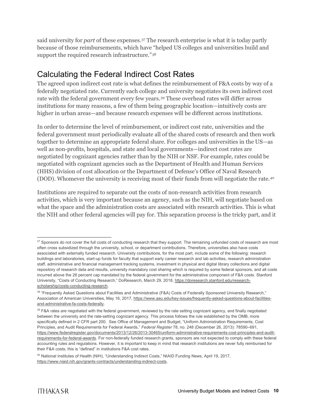said university for *part* of these expenses.[37](#page-10-0) The research enterprise is what it is today partly because of those reimbursements, which have "helped US colleges and universities build and support the required research infrastructure."[38](#page-10-1)

### Calculating the Federal Indirect Cost Rates

The agreed upon indirect cost rate is what defines the reimbursement of F&A costs by way of a federally negotiated rate. Currently each college and university negotiates its own indirect cost rate with the federal government every few years.[39](#page-10-2) These overhead rates will differ across institutions for many reasons, a few of them being geographic location—intuitively costs are higher in urban areas—and because research expenses will be different across institutions.

In order to determine the level of reimbursement, or indirect cost rate, universities and the federal government must periodically evaluate all of the shared costs of research and then work together to determine an appropriate federal share. For colleges and universities in the US—as well as non-profits, hospitals, and state and local governments—indirect cost rates are negotiated by cognizant agencies rather than by the NIH or NSF. For example, rates could be negotiated with cognizant agencies such as the Department of Health and Human Services (HHS) division of cost allocation or the Department of Defense's Office of Naval Research (DOD). Whomever the university is receiving most of their funds from will negotiate the rate[.40](#page-10-3)

Institutions are required to separate out the costs of non-research activities from research activities, which is very important because an agency, such as the NIH, will negotiate based on what the space and the administration costs are associated with research activities. This is what the NIH and other federal agencies will pay for. This separation process is the tricky part, and it

<span id="page-10-0"></span><sup>&</sup>lt;sup>37</sup> Sponsors do not cover the full costs of conducting research that they support. The remaining unfunded costs of research are most often cross subsidized through the university, school, or department contributions. Therefore, universities also have costs associated with externally funded research. University contributions, for the most part, include some of the following: research buildings and laboratories, start-up funds for faculty that support early career research and lab activities, research administration staff, administrative and financial management tracking systems, investment in physical and digital library collections and digital repository of research data and results, university mandatory cost sharing which is required by some federal sponsors, and all costs incurred above the 26 percent cap mandated by the federal government for the administrative component of F&A costs. Stanford University, "Costs of Conducting Research," DoResearch, March 29, 2018, [https://doresearch.stanford.edu/research](https://doresearch.stanford.edu/research-scholarship/costs-conducting-research)[scholarship/costs-conducting-research.](https://doresearch.stanford.edu/research-scholarship/costs-conducting-research)

<span id="page-10-1"></span><sup>38 &</sup>quot;Frequently Asked Questions about Facilities and Administrative (F&A) Costs of Federally Sponsored University Research," Association of American Universities, May 16, 201[7,](https://www.aau.edu/key-issues/frequently-asked-questions-about-facilities-and-administrative-fa-costs-federally) [https://www.aau.edu/key-issues/frequently-asked-questions-about-facilities](https://www.aau.edu/key-issues/frequently-asked-questions-about-facilities-and-administrative-fa-costs-federally)[and-administrative-fa-costs-federally.](https://www.aau.edu/key-issues/frequently-asked-questions-about-facilities-and-administrative-fa-costs-federally)

<span id="page-10-2"></span><sup>39</sup> F&A rates are negotiated with the federal government, reviewed by the rate setting cognizant agency, and finally negotiated between the university and the rate-setting cognizant agency. This process follows the rule established by the OMB, more specifically defined in 2 CFR part 200. See Office of Management and Budget, "Uniform Administration Requirements, Cost Principles, and Audit Requirements for Federal Awards," *Federal Register* 78, no. 248 (December 26, 2013): 78590–691[,](https://www.federalregister.gov/documents/2013/12/26/2013-30465/uniform-administrative-requirements-cost-principles-and-audit-requirements-for-federal-awards) [https://www.federalregister.gov/documents/2013/12/26/2013-30465/uniform-administrative-requirements-cost-principles-and-audit](https://www.federalregister.gov/documents/2013/12/26/2013-30465/uniform-administrative-requirements-cost-principles-and-audit-requirements-for-federal-awards)[requirements-for-federal-awards.](https://www.federalregister.gov/documents/2013/12/26/2013-30465/uniform-administrative-requirements-cost-principles-and-audit-requirements-for-federal-awards) For non-federally funded research grants, sponsors are not expected to comply with these federal accounting rules and regulations. However, it is important to keep in mind that research institutions are never fully reimbursed for their F&A costs; this is "defined" in institutions F&A cost rates.

<span id="page-10-3"></span><sup>40</sup> National Institutes of Health (NIH), "Understanding Indirect Costs," NIAID Funding News, April 19, 2017, [https://www.niaid.nih.gov/grants-contracts/understanding-indirect-costs.](https://www.niaid.nih.gov/grants-contracts/understanding-indirect-costs)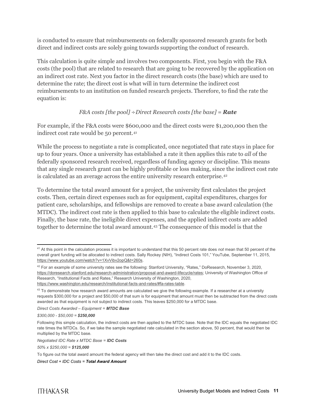is conducted to ensure that reimbursements on federally sponsored research grants for both direct and indirect costs are solely going towards supporting the conduct of research.

This calculation is quite simple and involves two components. First, you begin with the F&A costs (the pool) that are related to research that are going to be recovered by the application on an indirect cost rate. Next you factor in the direct research costs (the base) which are used to determine the rate; the direct cost is what will in turn determine the indirect cost reimbursements to an institution on funded research projects. Therefore, to find the rate the equation is:

#### *F&A costs [the pool]* ÷*Direct Research costs [the base] = Rate*

For example, if the F&A costs were \$600,000 and the direct costs were \$1,200,000 then the indirect cost rate would be 50 percent.[41](#page-11-0)

While the process to negotiate a rate is complicated, once negotiated that rate stays in place for up to four years. Once a university has established a rate it then applies this rate to *all* of the federally sponsored research received, regardless of funding agency or discipline. This means that any single research grant can be highly profitable or loss making, since the indirect cost rate is calculated as an average across the entire university research enterprise.[42](#page-11-1)

To determine the total award amount for a project, the university first calculates the project costs. Then, certain direct expenses such as for equipment, capital expenditures, charges for patient care, scholarships, and fellowships are removed to create a base award calculation (the MTDC). The indirect cost rate is then applied to this base to calculate the eligible indirect costs. Finally, the base rate, the ineligible direct expenses, and the applied indirect costs are added together to determine the total award amount.[43](#page-11-2) The consequence of this model is that the

*50% x \$250,000 = \$125,000*

To figure out the total award amount the federal agency will then take the direct cost and add it to the IDC costs.

*Direct Cost + IDC Costs = Total Award Amount*

<span id="page-11-0"></span> <sup>41</sup> At this point in the calculation process it is important to understand that this 50 percent rate does *not* mean that 50 percent of the overall grant funding will be allocated to indirect costs. Sally Rockey (NIH), "Indirect Costs 101," YouTube, September 11, 2015, [https://www.youtube.com/watch?v=1XvVibv2opQ&t=260s.](https://www.youtube.com/watch?v=1XvVibv2opQ&t=260s)

<span id="page-11-1"></span> $42$  For an example of some university rates see the following: Stanford University, "Rates," DoResearch, November 3, 2020, [https://doresearch.stanford.edu/research-administration/proposal-and-award-lifecycle/rates;](https://doresearch.stanford.edu/research-administration/proposal-and-award-lifecycle/rates) University of Washington Office of Research, "Institutional Facts and Rates," Research University of Washington, 2020, [https://www.washington.edu/research/institutional-facts-and-rates/#fa-rates-table.](https://www.washington.edu/research/institutional-facts-and-rates/#fa-rates-table)

<span id="page-11-2"></span> $43$  To demonstrate how research award amounts are calculated we give the following example. If a researcher at a university requests \$300,000 for a project and \$50,000 of that sum is for equipment that amount must then be subtracted from the direct costs awarded as that equipment is not subject to indirect costs. This leaves \$250,000 for a MTDC base.

*Direct Costs Awarded – Equipment = MTDC Base*

*<sup>\$300,000 -</sup> \$50,000 = \$250,000*

Following this simple calculation, the indirect costs are then applied to the MTDC base. Note that the IDC equals the negotiated IDC rate times the MTDCs. So, if we take the sample negotiated rate calculated in the section above, 50 percent, that would then be multiplied by the MTDC base.

*Negotiated IDC Rate x MTDC Base = IDC Costs*